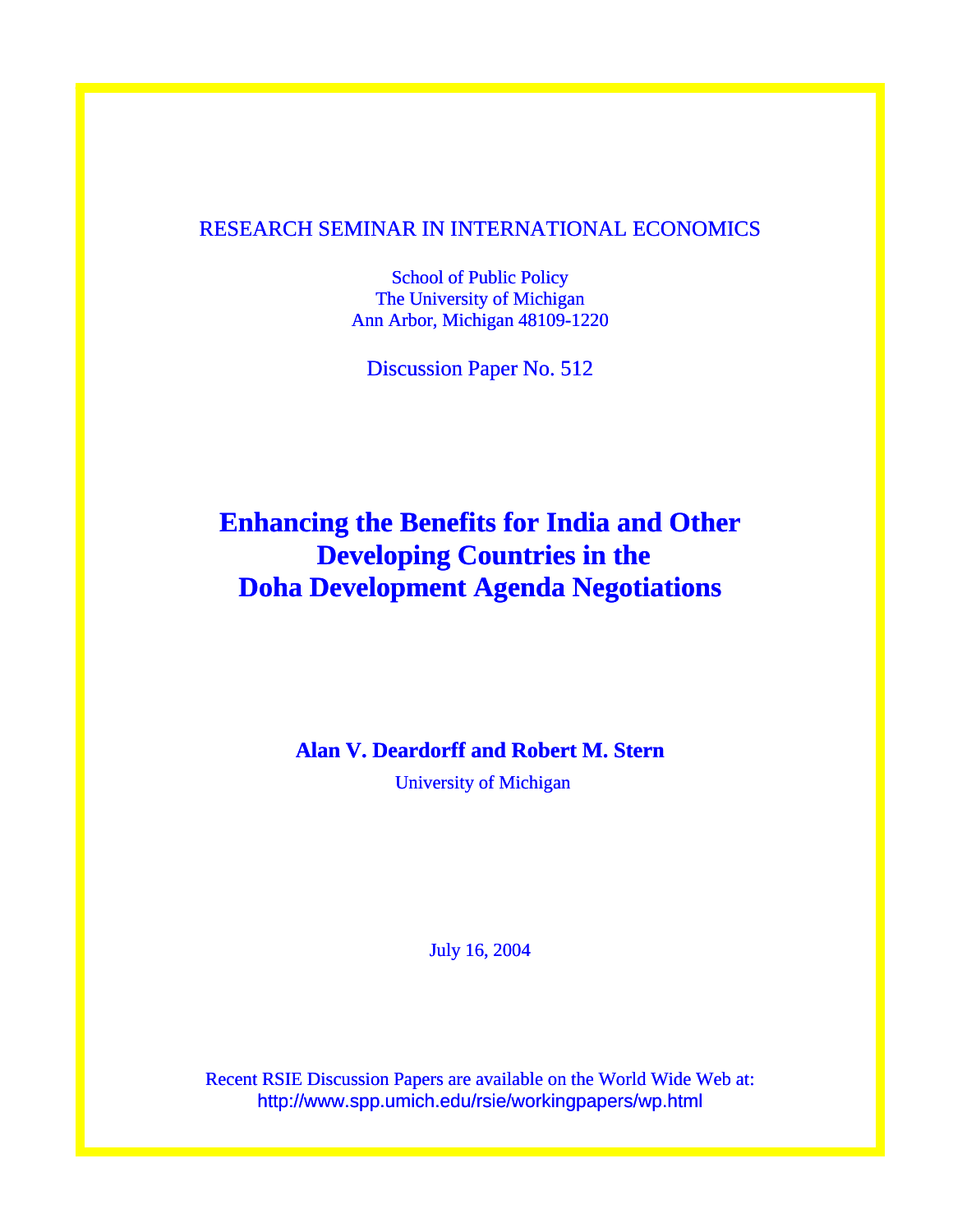### RESEARCH SEMINAR IN INTERNATIONAL ECONOMICS

School of Public Policy The University of Michigan Ann Arbor, Michigan 48109-1220

Discussion Paper No. 512

# **Enhancing the Benefits for India and Other Developing Countries in the Doha Development Agenda Negotiations**

### **Alan V. Deardorff and Robert M. Stern**

University of Michigan

July 16, 2004

Recent RSIE Discussion Papers are available on the World Wide Web at: http://www.spp.umich.edu/rsie/workingpapers/wp.html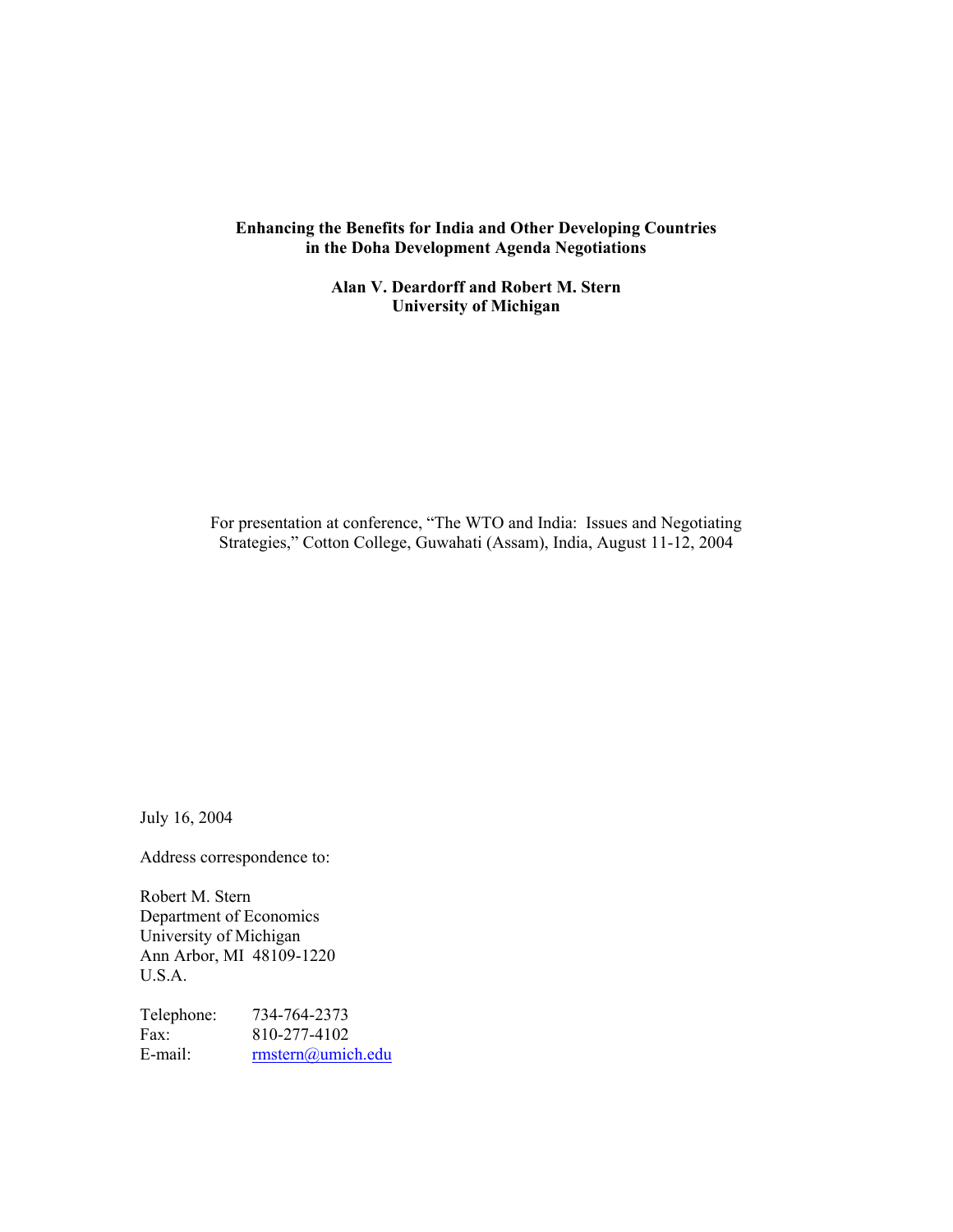#### **Enhancing the Benefits for India and Other Developing Countries in the Doha Development Agenda Negotiations**

**Alan V. Deardorff and Robert M. Stern University of Michigan** 

For presentation at conference, "The WTO and India: Issues and Negotiating Strategies," Cotton College, Guwahati (Assam), India, August 11-12, 2004

July 16, 2004

Address correspondence to:

Robert M. Stern Department of Economics University of Michigan Ann Arbor, MI 48109-1220 U.S.A.

Telephone: 734-764-2373 Fax: 810-277-4102<br>E-mail: mstern@umic [rmstern@umich.edu](mailto:rmstern@umich.edu)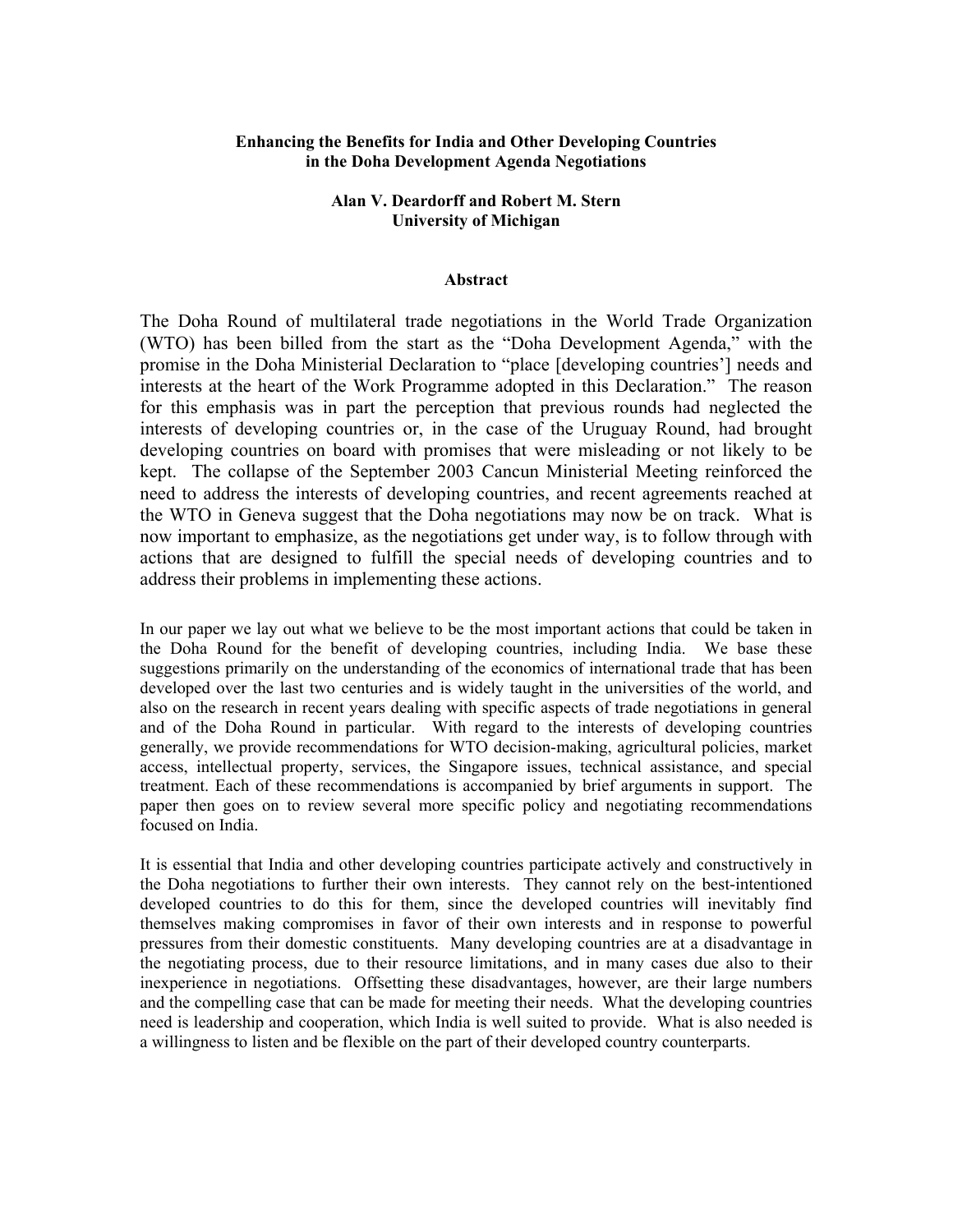#### **Enhancing the Benefits for India and Other Developing Countries in the Doha Development Agenda Negotiations**

#### **Alan V. Deardorff and Robert M. Stern University of Michigan**

#### **Abstract**

The Doha Round of multilateral trade negotiations in the World Trade Organization (WTO) has been billed from the start as the "Doha Development Agenda," with the promise in the Doha Ministerial Declaration to "place [developing countries'] needs and interests at the heart of the Work Programme adopted in this Declaration." The reason for this emphasis was in part the perception that previous rounds had neglected the interests of developing countries or, in the case of the Uruguay Round, had brought developing countries on board with promises that were misleading or not likely to be kept. The collapse of the September 2003 Cancun Ministerial Meeting reinforced the need to address the interests of developing countries, and recent agreements reached at the WTO in Geneva suggest that the Doha negotiations may now be on track. What is now important to emphasize, as the negotiations get under way, is to follow through with actions that are designed to fulfill the special needs of developing countries and to address their problems in implementing these actions.

In our paper we lay out what we believe to be the most important actions that could be taken in the Doha Round for the benefit of developing countries, including India. We base these suggestions primarily on the understanding of the economics of international trade that has been developed over the last two centuries and is widely taught in the universities of the world, and also on the research in recent years dealing with specific aspects of trade negotiations in general and of the Doha Round in particular. With regard to the interests of developing countries generally, we provide recommendations for WTO decision-making, agricultural policies, market access, intellectual property, services, the Singapore issues, technical assistance, and special treatment. Each of these recommendations is accompanied by brief arguments in support. The paper then goes on to review several more specific policy and negotiating recommendations focused on India.

It is essential that India and other developing countries participate actively and constructively in the Doha negotiations to further their own interests. They cannot rely on the best-intentioned developed countries to do this for them, since the developed countries will inevitably find themselves making compromises in favor of their own interests and in response to powerful pressures from their domestic constituents. Many developing countries are at a disadvantage in the negotiating process, due to their resource limitations, and in many cases due also to their inexperience in negotiations. Offsetting these disadvantages, however, are their large numbers and the compelling case that can be made for meeting their needs. What the developing countries need is leadership and cooperation, which India is well suited to provide. What is also needed is a willingness to listen and be flexible on the part of their developed country counterparts.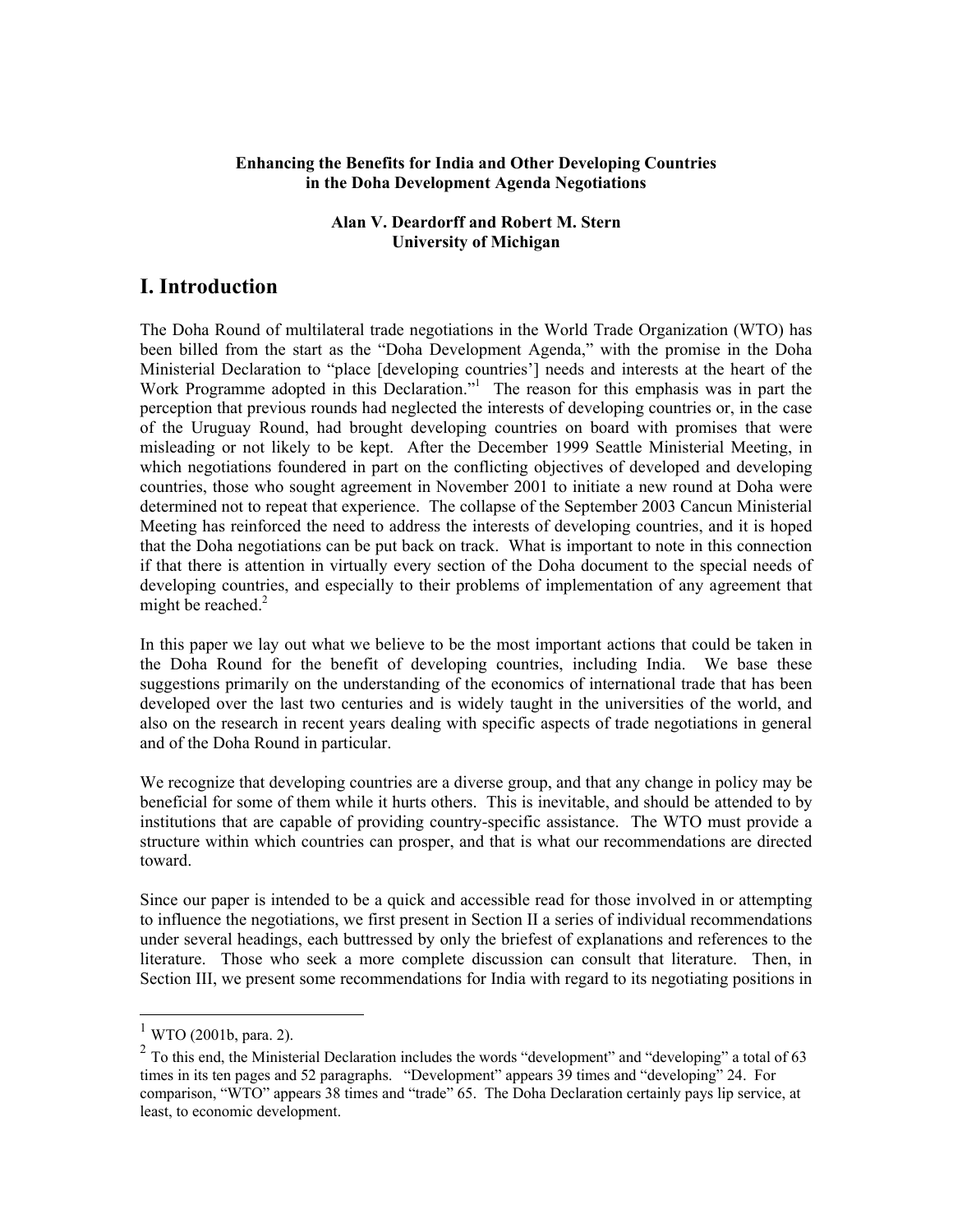#### **Enhancing the Benefits for India and Other Developing Countries in the Doha Development Agenda Negotiations**

#### **Alan V. Deardorff and Robert M. Stern University of Michigan**

## **I. Introduction**

The Doha Round of multilateral trade negotiations in the World Trade Organization (WTO) has been billed from the start as the "Doha Development Agenda," with the promise in the Doha Ministerial Declaration to "place [developing countries'] needs and interests at the heart of the WorkProgramme adopted in this Declaration."<sup>1</sup> The reason for this emphasis was in part the perception that previous rounds had neglected the interests of developing countries or, in the case of the Uruguay Round, had brought developing countries on board with promises that were misleading or not likely to be kept. After the December 1999 Seattle Ministerial Meeting, in which negotiations foundered in part on the conflicting objectives of developed and developing countries, those who sought agreement in November 2001 to initiate a new round at Doha were determined not to repeat that experience. The collapse of the September 2003 Cancun Ministerial Meeting has reinforced the need to address the interests of developing countries, and it is hoped that the Doha negotiations can be put back on track. What is important to note in this connection if that there is attention in virtually every section of the Doha document to the special needs of developing countries, and especially to their problems of implementation of any agreement that might be reached. $2$ 

In this paper we lay out what we believe to be the most important actions that could be taken in the Doha Round for the benefit of developing countries, including India. We base these suggestions primarily on the understanding of the economics of international trade that has been developed over the last two centuries and is widely taught in the universities of the world, and also on the research in recent years dealing with specific aspects of trade negotiations in general and of the Doha Round in particular.

We recognize that developing countries are a diverse group, and that any change in policy may be beneficial for some of them while it hurts others. This is inevitable, and should be attended to by institutions that are capable of providing country-specific assistance. The WTO must provide a structure within which countries can prosper, and that is what our recommendations are directed toward.

Since our paper is intended to be a quick and accessible read for those involved in or attempting to influence the negotiations, we first present in Section II a series of individual recommendations under several headings, each buttressed by only the briefest of explanations and references to the literature. Those who seek a more complete discussion can consult that literature. Then, in Section III, we present some recommendations for India with regard to its negotiating positions in

<span id="page-3-0"></span> $1$  WTO (2001b, para. 2).

<span id="page-3-1"></span><sup>&</sup>lt;sup>2</sup> To this end, the Ministerial Declaration includes the words "development" and "developing" a total of 63 times in its ten pages and 52 paragraphs. "Development" appears 39 times and "developing" 24. For comparison, "WTO" appears 38 times and "trade" 65. The Doha Declaration certainly pays lip service, at least, to economic development.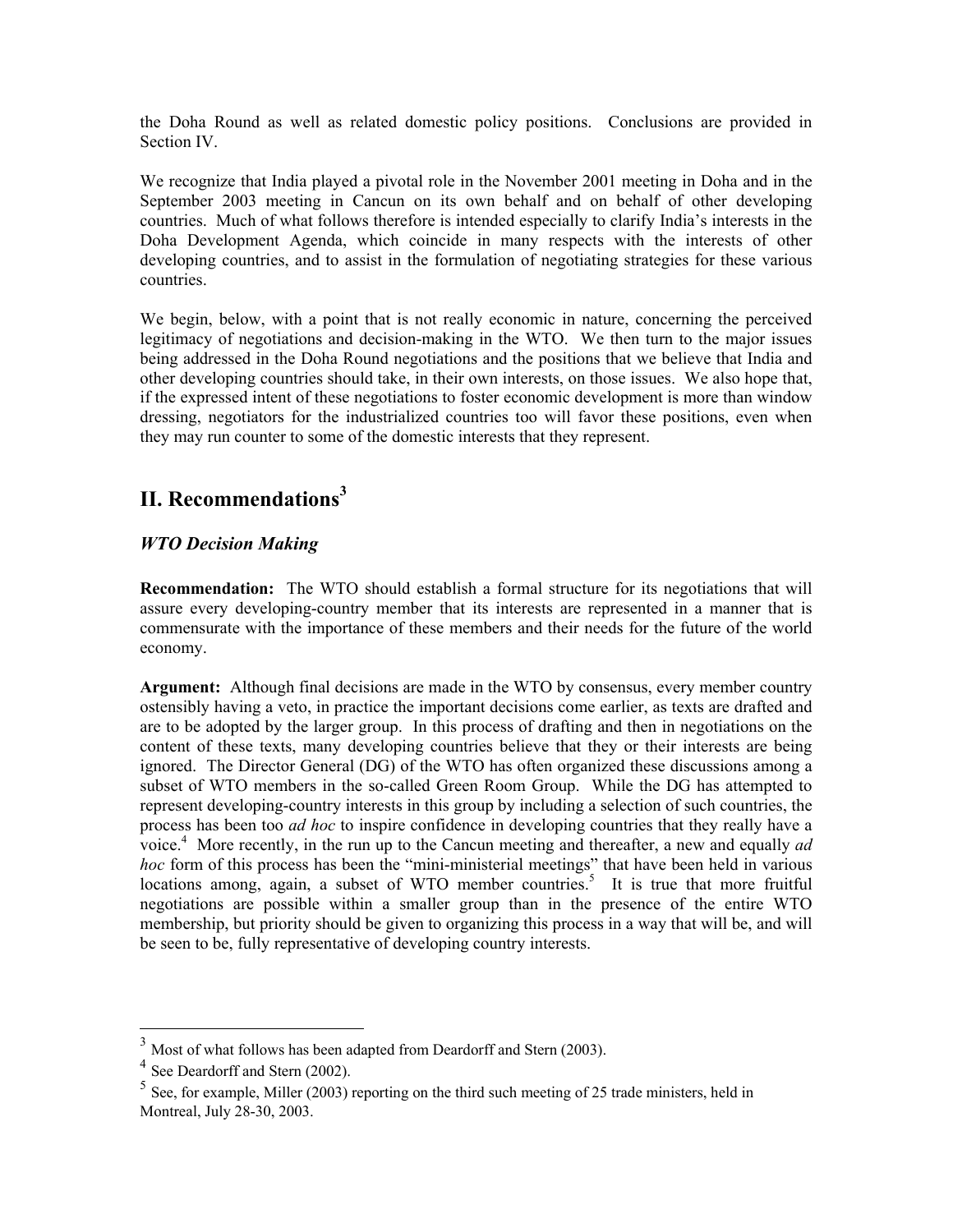the Doha Round as well as related domestic policy positions. Conclusions are provided in Section IV.

We recognize that India played a pivotal role in the November 2001 meeting in Doha and in the September 2003 meeting in Cancun on its own behalf and on behalf of other developing countries. Much of what follows therefore is intended especially to clarify India's interests in the Doha Development Agenda, which coincide in many respects with the interests of other developing countries, and to assist in the formulation of negotiating strategies for these various countries.

We begin, below, with a point that is not really economic in nature, concerning the perceived legitimacy of negotiations and decision-making in the WTO. We then turn to the major issues being addressed in the Doha Round negotiations and the positions that we believe that India and other developing countries should take, in their own interests, on those issues. We also hope that, if the expressed intent of these negotiations to foster economic development is more than window dressing, negotiators for the industrialized countries too will favor these positions, even when they may run counter to some of the domestic interests that they represent.

# **II. Recommendations[3](#page-4-0)**

### *WTO Decision Making*

**Recommendation:** The WTO should establish a formal structure for its negotiations that will assure every developing-country member that its interests are represented in a manner that is commensurate with the importance of these members and their needs for the future of the world economy.

**Argument:** Although final decisions are made in the WTO by consensus, every member country ostensibly having a veto, in practice the important decisions come earlier, as texts are drafted and are to be adopted by the larger group. In this process of drafting and then in negotiations on the content of these texts, many developing countries believe that they or their interests are being ignored. The Director General (DG) of the WTO has often organized these discussions among a subset of WTO members in the so-called Green Room Group. While the DG has attempted to represent developing-country interests in this group by including a selection of such countries, the process has been too *ad hoc* to inspire confidence in developing countries that they really have a voice.<sup>4</sup> More recently, in the run up to the Cancun meeting and thereafter, a new and equally *ad hoc* form of this process has been the "mini-ministerial meetings" that have been held in various locationsamong, again, a subset of WTO member countries.<sup>5</sup> It is true that more fruitful negotiations are possible within a smaller group than in the presence of the entire WTO membership, but priority should be given to organizing this process in a way that will be, and will be seen to be, fully representative of developing country interests.

<span id="page-4-0"></span> $3$  Most of what follows has been adapted from Deardorff and Stern (2003).

<span id="page-4-1"></span><sup>&</sup>lt;sup>4</sup> See Deardorff and Stern (2002).

<span id="page-4-2"></span> $5$  See, for example, Miller (2003) reporting on the third such meeting of 25 trade ministers, held in Montreal, July 28-30, 2003.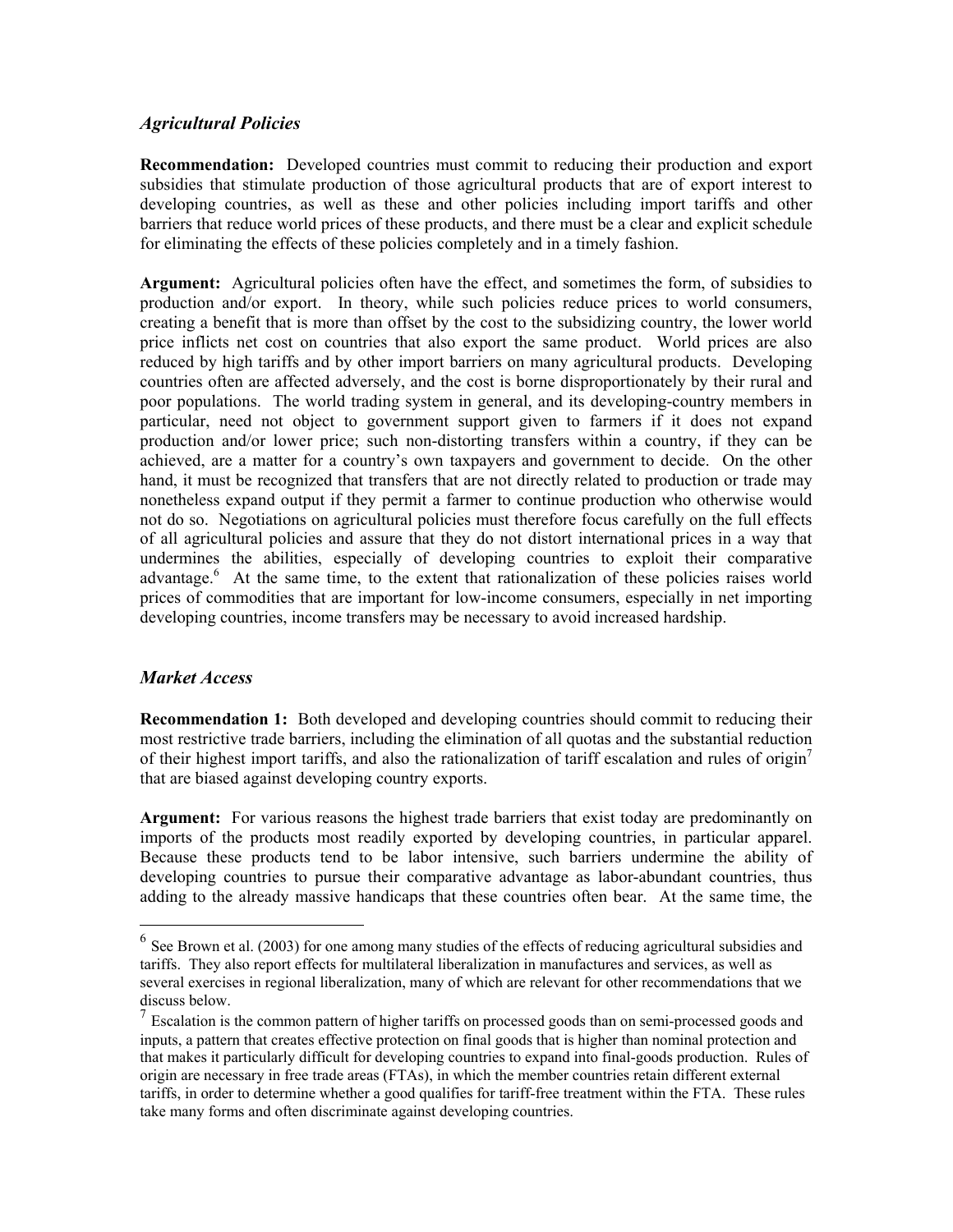#### *Agricultural Policies*

**Recommendation:** Developed countries must commit to reducing their production and export subsidies that stimulate production of those agricultural products that are of export interest to developing countries, as well as these and other policies including import tariffs and other barriers that reduce world prices of these products, and there must be a clear and explicit schedule for eliminating the effects of these policies completely and in a timely fashion.

**Argument:** Agricultural policies often have the effect, and sometimes the form, of subsidies to production and/or export. In theory, while such policies reduce prices to world consumers, creating a benefit that is more than offset by the cost to the subsidizing country, the lower world price inflicts net cost on countries that also export the same product. World prices are also reduced by high tariffs and by other import barriers on many agricultural products. Developing countries often are affected adversely, and the cost is borne disproportionately by their rural and poor populations. The world trading system in general, and its developing-country members in particular, need not object to government support given to farmers if it does not expand production and/or lower price; such non-distorting transfers within a country, if they can be achieved, are a matter for a country's own taxpayers and government to decide. On the other hand, it must be recognized that transfers that are not directly related to production or trade may nonetheless expand output if they permit a farmer to continue production who otherwise would not do so. Negotiations on agricultural policies must therefore focus carefully on the full effects of all agricultural policies and assure that they do not distort international prices in a way that undermines the abilities, especially of developing countries to exploit their comparative advantage.<sup>6</sup>At the same time, to the extent that rationalization of these policies raises world prices of commodities that are important for low-income consumers, especially in net importing developing countries, income transfers may be necessary to avoid increased hardship.

### *Market Access*

 $\overline{a}$ 

**Recommendation 1:** Both developed and developing countries should commit to reducing their most restrictive trade barriers, including the elimination of all quotas and the substantial reduction of their highest import tariffs, and also the rationalization of tariff escalation and rules of origin<sup>7</sup> that are biased against developing country exports.

**Argument:** For various reasons the highest trade barriers that exist today are predominantly on imports of the products most readily exported by developing countries, in particular apparel. Because these products tend to be labor intensive, such barriers undermine the ability of developing countries to pursue their comparative advantage as labor-abundant countries, thus adding to the already massive handicaps that these countries often bear. At the same time, the

<span id="page-5-0"></span> $6$  See Brown et al. (2003) for one among many studies of the effects of reducing agricultural subsidies and tariffs. They also report effects for multilateral liberalization in manufactures and services, as well as several exercises in regional liberalization, many of which are relevant for other recommendations that we discuss below.

<span id="page-5-1"></span><sup>7</sup> Escalation is the common pattern of higher tariffs on processed goods than on semi-processed goods and inputs, a pattern that creates effective protection on final goods that is higher than nominal protection and that makes it particularly difficult for developing countries to expand into final-goods production. Rules of origin are necessary in free trade areas (FTAs), in which the member countries retain different external tariffs, in order to determine whether a good qualifies for tariff-free treatment within the FTA. These rules take many forms and often discriminate against developing countries.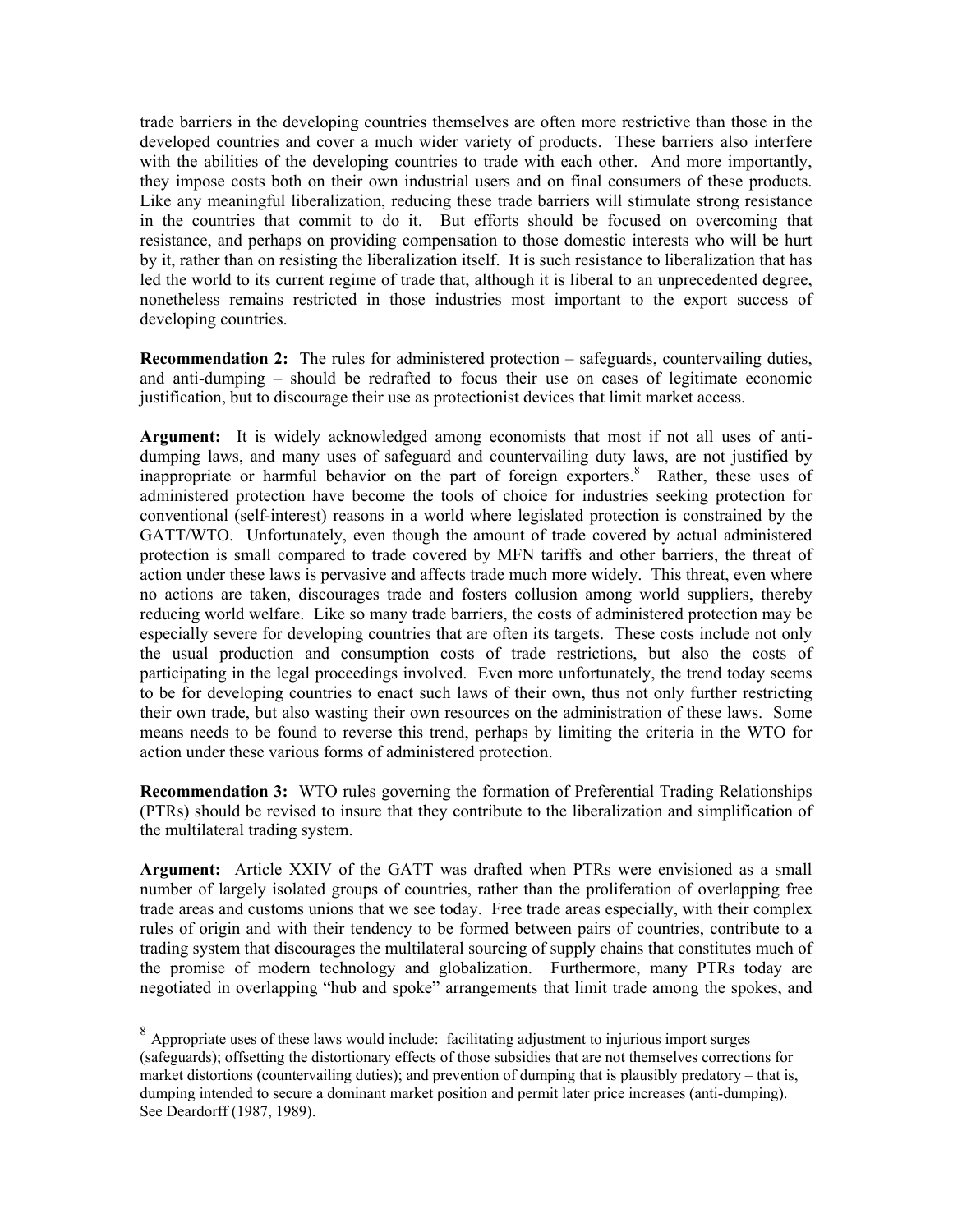trade barriers in the developing countries themselves are often more restrictive than those in the developed countries and cover a much wider variety of products. These barriers also interfere with the abilities of the developing countries to trade with each other. And more importantly, they impose costs both on their own industrial users and on final consumers of these products. Like any meaningful liberalization, reducing these trade barriers will stimulate strong resistance in the countries that commit to do it. But efforts should be focused on overcoming that resistance, and perhaps on providing compensation to those domestic interests who will be hurt by it, rather than on resisting the liberalization itself. It is such resistance to liberalization that has led the world to its current regime of trade that, although it is liberal to an unprecedented degree, nonetheless remains restricted in those industries most important to the export success of developing countries.

**Recommendation 2:** The rules for administered protection – safeguards, countervailing duties, and anti-dumping – should be redrafted to focus their use on cases of legitimate economic justification, but to discourage their use as protectionist devices that limit market access.

**Argument:** It is widely acknowledged among economists that most if not all uses of antidumping laws, and many uses of safeguard and countervailing duty laws, are not justified by inappropriate or harmful behavior on the part of foreign exporters.<sup>[8](#page-6-0)</sup> Rather, these uses of administered protection have become the tools of choice for industries seeking protection for conventional (self-interest) reasons in a world where legislated protection is constrained by the GATT/WTO. Unfortunately, even though the amount of trade covered by actual administered protection is small compared to trade covered by MFN tariffs and other barriers, the threat of action under these laws is pervasive and affects trade much more widely. This threat, even where no actions are taken, discourages trade and fosters collusion among world suppliers, thereby reducing world welfare. Like so many trade barriers, the costs of administered protection may be especially severe for developing countries that are often its targets. These costs include not only the usual production and consumption costs of trade restrictions, but also the costs of participating in the legal proceedings involved. Even more unfortunately, the trend today seems to be for developing countries to enact such laws of their own, thus not only further restricting their own trade, but also wasting their own resources on the administration of these laws. Some means needs to be found to reverse this trend, perhaps by limiting the criteria in the WTO for action under these various forms of administered protection.

**Recommendation 3:** WTO rules governing the formation of Preferential Trading Relationships (PTRs) should be revised to insure that they contribute to the liberalization and simplification of the multilateral trading system.

**Argument:** Article XXIV of the GATT was drafted when PTRs were envisioned as a small number of largely isolated groups of countries, rather than the proliferation of overlapping free trade areas and customs unions that we see today. Free trade areas especially, with their complex rules of origin and with their tendency to be formed between pairs of countries, contribute to a trading system that discourages the multilateral sourcing of supply chains that constitutes much of the promise of modern technology and globalization. Furthermore, many PTRs today are negotiated in overlapping "hub and spoke" arrangements that limit trade among the spokes, and

<span id="page-6-0"></span><sup>8</sup> Appropriate uses of these laws would include: facilitating adjustment to injurious import surges (safeguards); offsetting the distortionary effects of those subsidies that are not themselves corrections for market distortions (countervailing duties); and prevention of dumping that is plausibly predatory – that is, dumping intended to secure a dominant market position and permit later price increases (anti-dumping). See Deardorff (1987, 1989).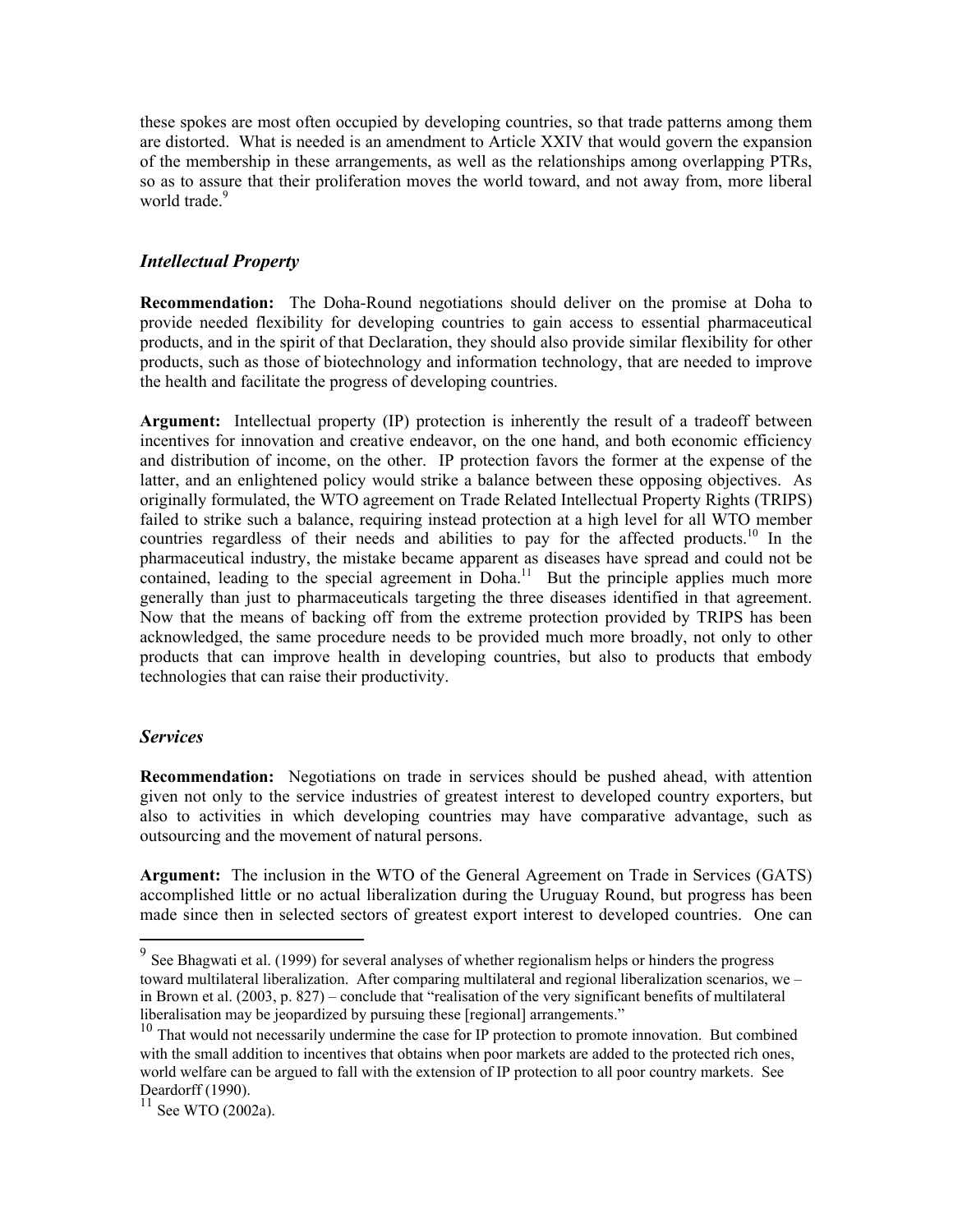these spokes are most often occupied by developing countries, so that trade patterns among them are distorted. What is needed is an amendment to Article XXIV that would govern the expansion of the membership in these arrangements, as well as the relationships among overlapping PTRs, so as to assure that their proliferation moves the world toward, and not away from, more liberal world trade<sup>[9](#page-7-0)</sup>

### *Intellectual Property*

**Recommendation:** The Doha-Round negotiations should deliver on the promise at Doha to provide needed flexibility for developing countries to gain access to essential pharmaceutical products, and in the spirit of that Declaration, they should also provide similar flexibility for other products, such as those of biotechnology and information technology, that are needed to improve the health and facilitate the progress of developing countries.

**Argument:** Intellectual property (IP) protection is inherently the result of a tradeoff between incentives for innovation and creative endeavor, on the one hand, and both economic efficiency and distribution of income, on the other. IP protection favors the former at the expense of the latter, and an enlightened policy would strike a balance between these opposing objectives. As originally formulated, the WTO agreement on Trade Related Intellectual Property Rights (TRIPS) failed to strike such a balance, requiring instead protection at a high level for all WTO member countries regardless of their needs and abilities to pay for the affected products.<sup>10</sup> In the pharmaceutical industry, the mistake became apparent as diseases have spread and could not be contained, leading to the special agreement in  $\text{Doha}^{11}$ . But the principle applies much more generally than just to pharmaceuticals targeting the three diseases identified in that agreement. Now that the means of backing off from the extreme protection provided by TRIPS has been acknowledged, the same procedure needs to be provided much more broadly, not only to other products that can improve health in developing countries, but also to products that embody technologies that can raise their productivity.

#### *Services*

 $\overline{a}$ 

**Recommendation:** Negotiations on trade in services should be pushed ahead, with attention given not only to the service industries of greatest interest to developed country exporters, but also to activities in which developing countries may have comparative advantage, such as outsourcing and the movement of natural persons.

**Argument:** The inclusion in the WTO of the General Agreement on Trade in Services (GATS) accomplished little or no actual liberalization during the Uruguay Round, but progress has been made since then in selected sectors of greatest export interest to developed countries. One can

<span id="page-7-0"></span> $9^9$  See Bhagwati et al. (1999) for several analyses of whether regionalism helps or hinders the progress toward multilateral liberalization. After comparing multilateral and regional liberalization scenarios, we – in Brown et al. (2003, p. 827) – conclude that "realisation of the very significant benefits of multilateral liberalisation may be jeopardized by pursuing these [regional] arrangements."

<span id="page-7-1"></span> $10$  That would not necessarily undermine the case for IP protection to promote innovation. But combined with the small addition to incentives that obtains when poor markets are added to the protected rich ones, world welfare can be argued to fall with the extension of IP protection to all poor country markets. See Deardorff (1990).

<span id="page-7-2"></span> $11$  See WTO (2002a).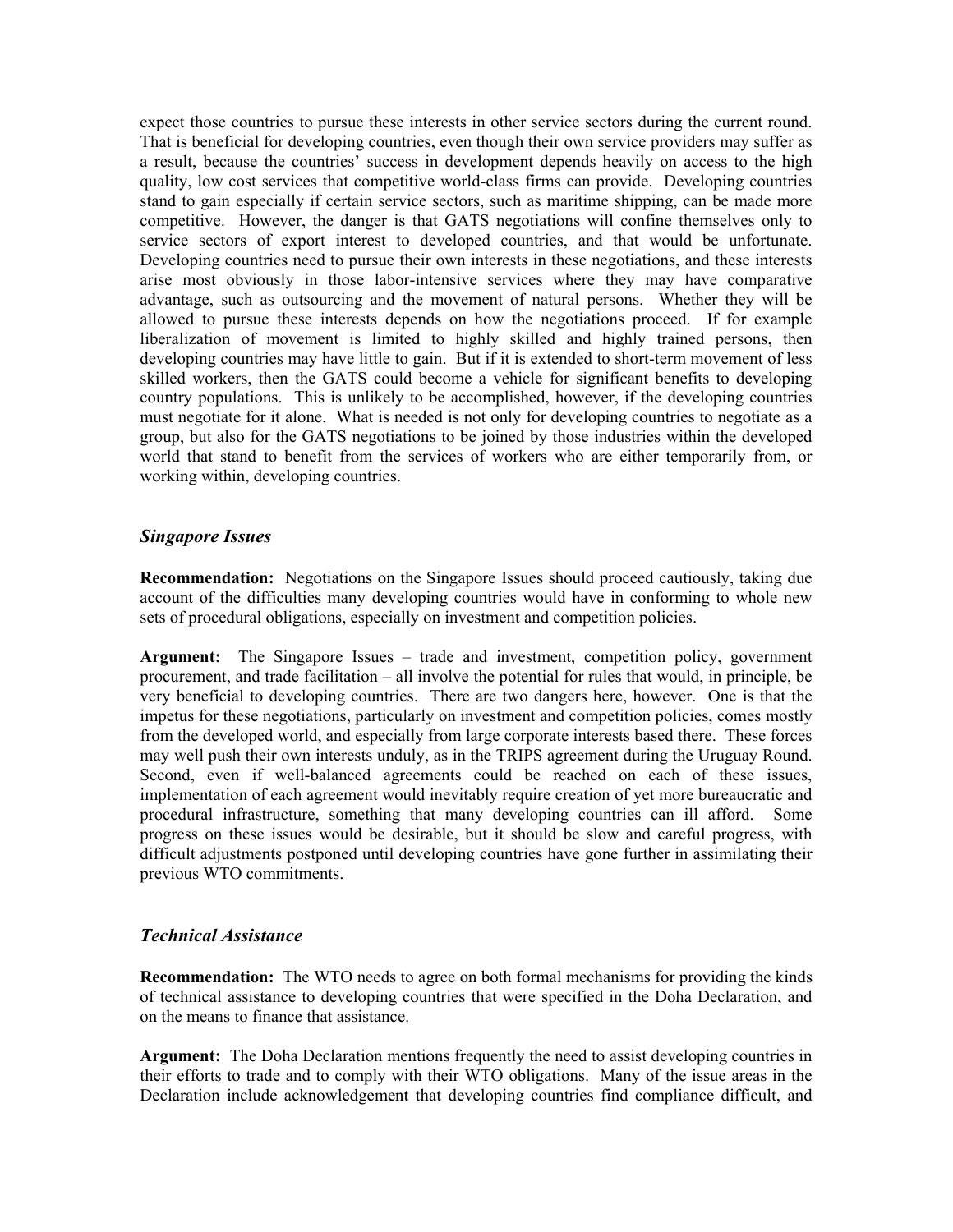expect those countries to pursue these interests in other service sectors during the current round. That is beneficial for developing countries, even though their own service providers may suffer as a result, because the countries' success in development depends heavily on access to the high quality, low cost services that competitive world-class firms can provide. Developing countries stand to gain especially if certain service sectors, such as maritime shipping, can be made more competitive. However, the danger is that GATS negotiations will confine themselves only to service sectors of export interest to developed countries, and that would be unfortunate. Developing countries need to pursue their own interests in these negotiations, and these interests arise most obviously in those labor-intensive services where they may have comparative advantage, such as outsourcing and the movement of natural persons. Whether they will be allowed to pursue these interests depends on how the negotiations proceed. If for example liberalization of movement is limited to highly skilled and highly trained persons, then developing countries may have little to gain. But if it is extended to short-term movement of less skilled workers, then the GATS could become a vehicle for significant benefits to developing country populations. This is unlikely to be accomplished, however, if the developing countries must negotiate for it alone. What is needed is not only for developing countries to negotiate as a group, but also for the GATS negotiations to be joined by those industries within the developed world that stand to benefit from the services of workers who are either temporarily from, or working within, developing countries.

### *Singapore Issues*

**Recommendation:** Negotiations on the Singapore Issues should proceed cautiously, taking due account of the difficulties many developing countries would have in conforming to whole new sets of procedural obligations, especially on investment and competition policies.

**Argument:** The Singapore Issues – trade and investment, competition policy, government procurement, and trade facilitation – all involve the potential for rules that would, in principle, be very beneficial to developing countries. There are two dangers here, however. One is that the impetus for these negotiations, particularly on investment and competition policies, comes mostly from the developed world, and especially from large corporate interests based there. These forces may well push their own interests unduly, as in the TRIPS agreement during the Uruguay Round. Second, even if well-balanced agreements could be reached on each of these issues, implementation of each agreement would inevitably require creation of yet more bureaucratic and procedural infrastructure, something that many developing countries can ill afford. Some progress on these issues would be desirable, but it should be slow and careful progress, with difficult adjustments postponed until developing countries have gone further in assimilating their previous WTO commitments.

#### *Technical Assistance*

**Recommendation:** The WTO needs to agree on both formal mechanisms for providing the kinds of technical assistance to developing countries that were specified in the Doha Declaration, and on the means to finance that assistance.

**Argument:** The Doha Declaration mentions frequently the need to assist developing countries in their efforts to trade and to comply with their WTO obligations. Many of the issue areas in the Declaration include acknowledgement that developing countries find compliance difficult, and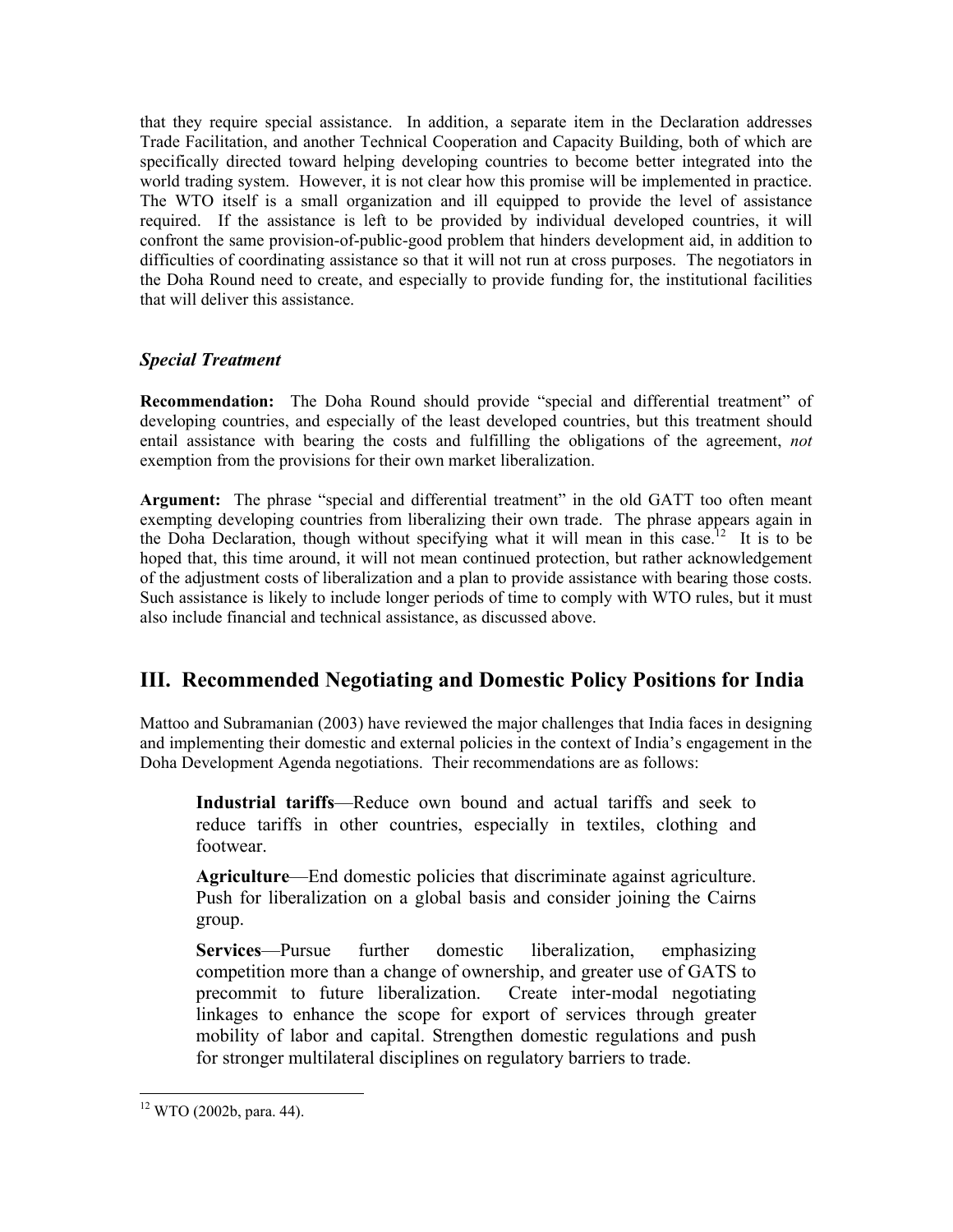that they require special assistance. In addition, a separate item in the Declaration addresses Trade Facilitation, and another Technical Cooperation and Capacity Building, both of which are specifically directed toward helping developing countries to become better integrated into the world trading system. However, it is not clear how this promise will be implemented in practice. The WTO itself is a small organization and ill equipped to provide the level of assistance required. If the assistance is left to be provided by individual developed countries, it will confront the same provision-of-public-good problem that hinders development aid, in addition to difficulties of coordinating assistance so that it will not run at cross purposes. The negotiators in the Doha Round need to create, and especially to provide funding for, the institutional facilities that will deliver this assistance.

### *Special Treatment*

**Recommendation:** The Doha Round should provide "special and differential treatment" of developing countries, and especially of the least developed countries, but this treatment should entail assistance with bearing the costs and fulfilling the obligations of the agreement, *not* exemption from the provisions for their own market liberalization.

**Argument:** The phrase "special and differential treatment" in the old GATT too often meant exempting developing countries from liberalizing their own trade. The phrase appears again in the Doha Declaration, though without specifying what it will mean in this case.<sup>12</sup> It is to be hoped that, this time around, it will not mean continued protection, but rather acknowledgement of the adjustment costs of liberalization and a plan to provide assistance with bearing those costs. Such assistance is likely to include longer periods of time to comply with WTO rules, but it must also include financial and technical assistance, as discussed above.

## **III. Recommended Negotiating and Domestic Policy Positions for India**

Mattoo and Subramanian (2003) have reviewed the major challenges that India faces in designing and implementing their domestic and external policies in the context of India's engagement in the Doha Development Agenda negotiations. Their recommendations are as follows:

**Industrial tariffs**—Reduce own bound and actual tariffs and seek to reduce tariffs in other countries, especially in textiles, clothing and footwear.

**Agriculture**—End domestic policies that discriminate against agriculture. Push for liberalization on a global basis and consider joining the Cairns group.

**Services**—Pursue further domestic liberalization, emphasizing competition more than a change of ownership, and greater use of GATS to precommit to future liberalization. Create inter-modal negotiating linkages to enhance the scope for export of services through greater mobility of labor and capital. Strengthen domestic regulations and push for stronger multilateral disciplines on regulatory barriers to trade.

<span id="page-9-0"></span><sup>12</sup> WTO (2002b, para. 44).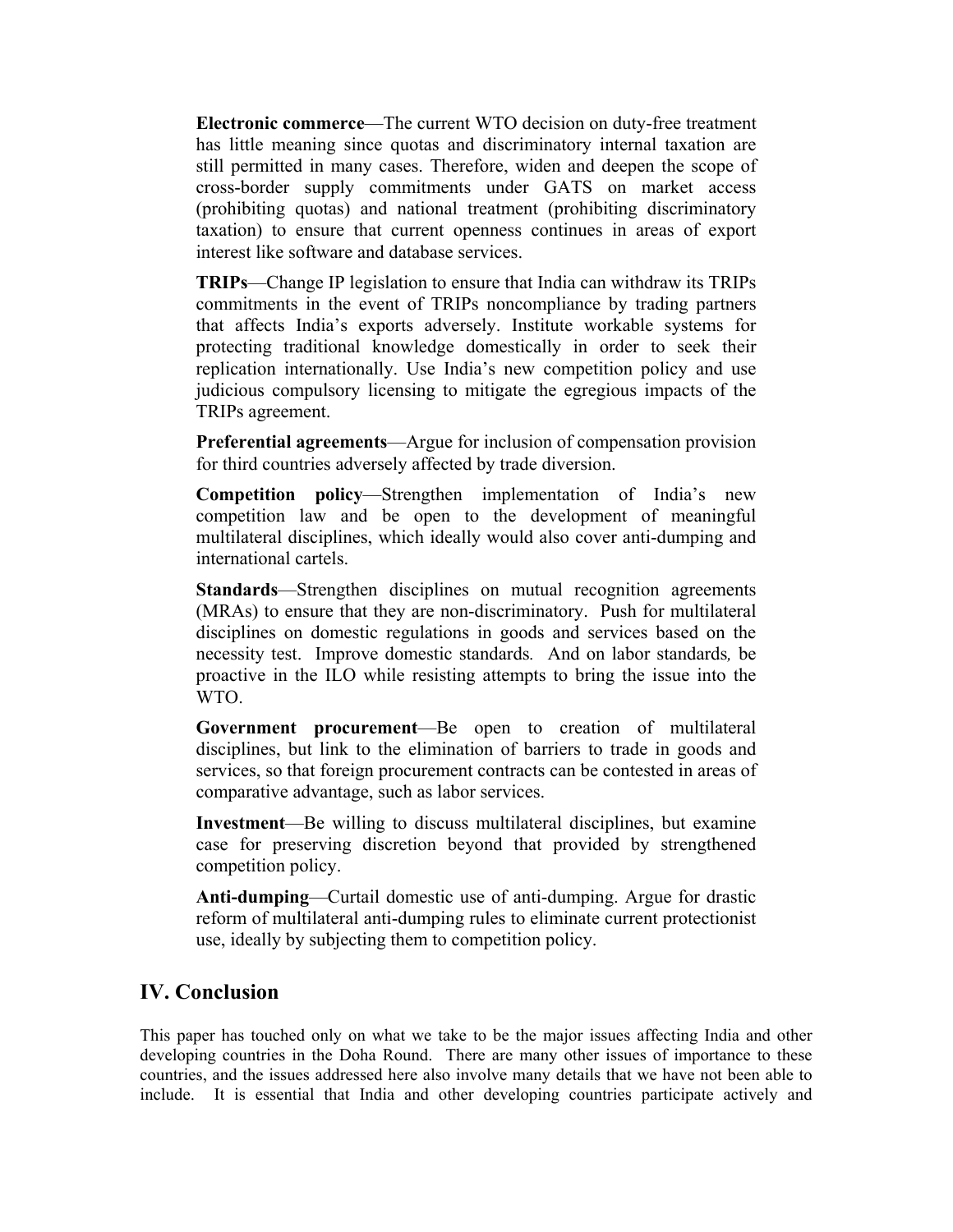**Electronic commerce**—The current WTO decision on duty-free treatment has little meaning since quotas and discriminatory internal taxation are still permitted in many cases. Therefore, widen and deepen the scope of cross-border supply commitments under GATS on market access (prohibiting quotas) and national treatment (prohibiting discriminatory taxation) to ensure that current openness continues in areas of export interest like software and database services.

**TRIPs**—Change IP legislation to ensure that India can withdraw its TRIPs commitments in the event of TRIPs noncompliance by trading partners that affects India's exports adversely. Institute workable systems for protecting traditional knowledge domestically in order to seek their replication internationally. Use India's new competition policy and use judicious compulsory licensing to mitigate the egregious impacts of the TRIPs agreement.

**Preferential agreements**—Argue for inclusion of compensation provision for third countries adversely affected by trade diversion.

**Competition policy**—Strengthen implementation of India's new competition law and be open to the development of meaningful multilateral disciplines, which ideally would also cover anti-dumping and international cartels.

**Standards**—Strengthen disciplines on mutual recognition agreements (MRAs) to ensure that they are non-discriminatory. Push for multilateral disciplines on domestic regulations in goods and services based on the necessity test. Improve domestic standards*.* And on labor standards*,* be proactive in the ILO while resisting attempts to bring the issue into the WTO.

**Government procurement**—Be open to creation of multilateral disciplines, but link to the elimination of barriers to trade in goods and services, so that foreign procurement contracts can be contested in areas of comparative advantage, such as labor services.

**Investment**—Be willing to discuss multilateral disciplines, but examine case for preserving discretion beyond that provided by strengthened competition policy.

**Anti-dumping**—Curtail domestic use of anti-dumping. Argue for drastic reform of multilateral anti-dumping rules to eliminate current protectionist use, ideally by subjecting them to competition policy.

### **IV. Conclusion**

This paper has touched only on what we take to be the major issues affecting India and other developing countries in the Doha Round. There are many other issues of importance to these countries, and the issues addressed here also involve many details that we have not been able to include. It is essential that India and other developing countries participate actively and